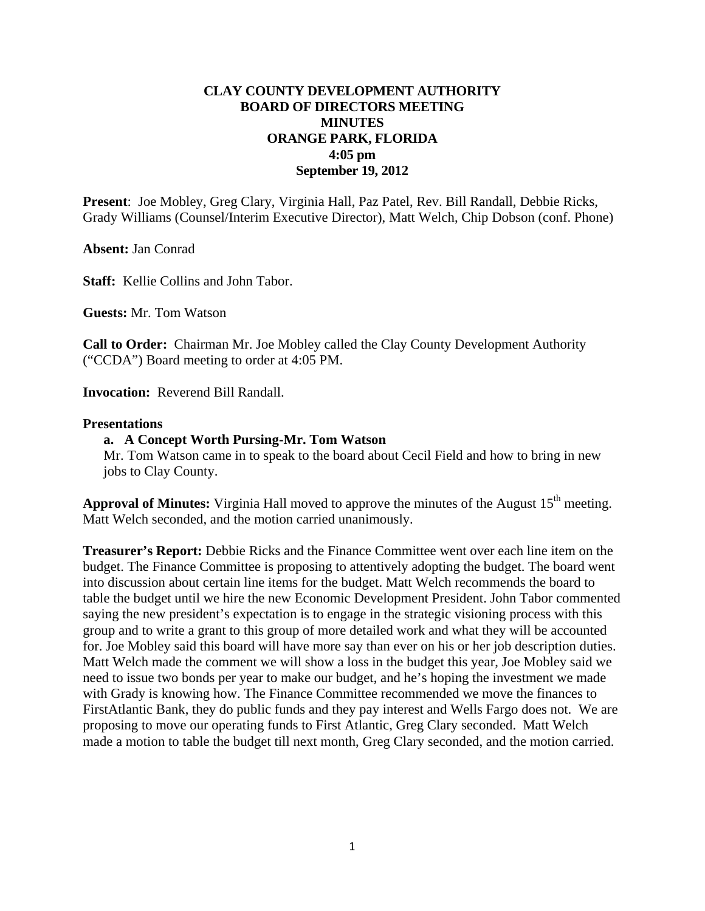# **CLAY COUNTY DEVELOPMENT AUTHORITY BOARD OF DIRECTORS MEETING MINUTES ORANGE PARK, FLORIDA 4:05 pm September 19, 2012**

**Present**: Joe Mobley, Greg Clary, Virginia Hall, Paz Patel, Rev. Bill Randall, Debbie Ricks, Grady Williams (Counsel/Interim Executive Director), Matt Welch, Chip Dobson (conf. Phone)

**Absent:** Jan Conrad

**Staff:** Kellie Collins and John Tabor.

**Guests:** Mr. Tom Watson

**Call to Order:** Chairman Mr. Joe Mobley called the Clay County Development Authority ("CCDA") Board meeting to order at 4:05 PM.

**Invocation:** Reverend Bill Randall.

### **Presentations**

#### **a. A Concept Worth Pursing-Mr. Tom Watson**

Mr. Tom Watson came in to speak to the board about Cecil Field and how to bring in new jobs to Clay County.

**Approval of Minutes:** Virginia Hall moved to approve the minutes of the August  $15<sup>th</sup>$  meeting. Matt Welch seconded, and the motion carried unanimously.

**Treasurer's Report:** Debbie Ricks and the Finance Committee went over each line item on the budget. The Finance Committee is proposing to attentively adopting the budget. The board went into discussion about certain line items for the budget. Matt Welch recommends the board to table the budget until we hire the new Economic Development President. John Tabor commented saying the new president's expectation is to engage in the strategic visioning process with this group and to write a grant to this group of more detailed work and what they will be accounted for. Joe Mobley said this board will have more say than ever on his or her job description duties. Matt Welch made the comment we will show a loss in the budget this year, Joe Mobley said we need to issue two bonds per year to make our budget, and he's hoping the investment we made with Grady is knowing how. The Finance Committee recommended we move the finances to FirstAtlantic Bank, they do public funds and they pay interest and Wells Fargo does not. We are proposing to move our operating funds to First Atlantic, Greg Clary seconded. Matt Welch made a motion to table the budget till next month, Greg Clary seconded, and the motion carried.